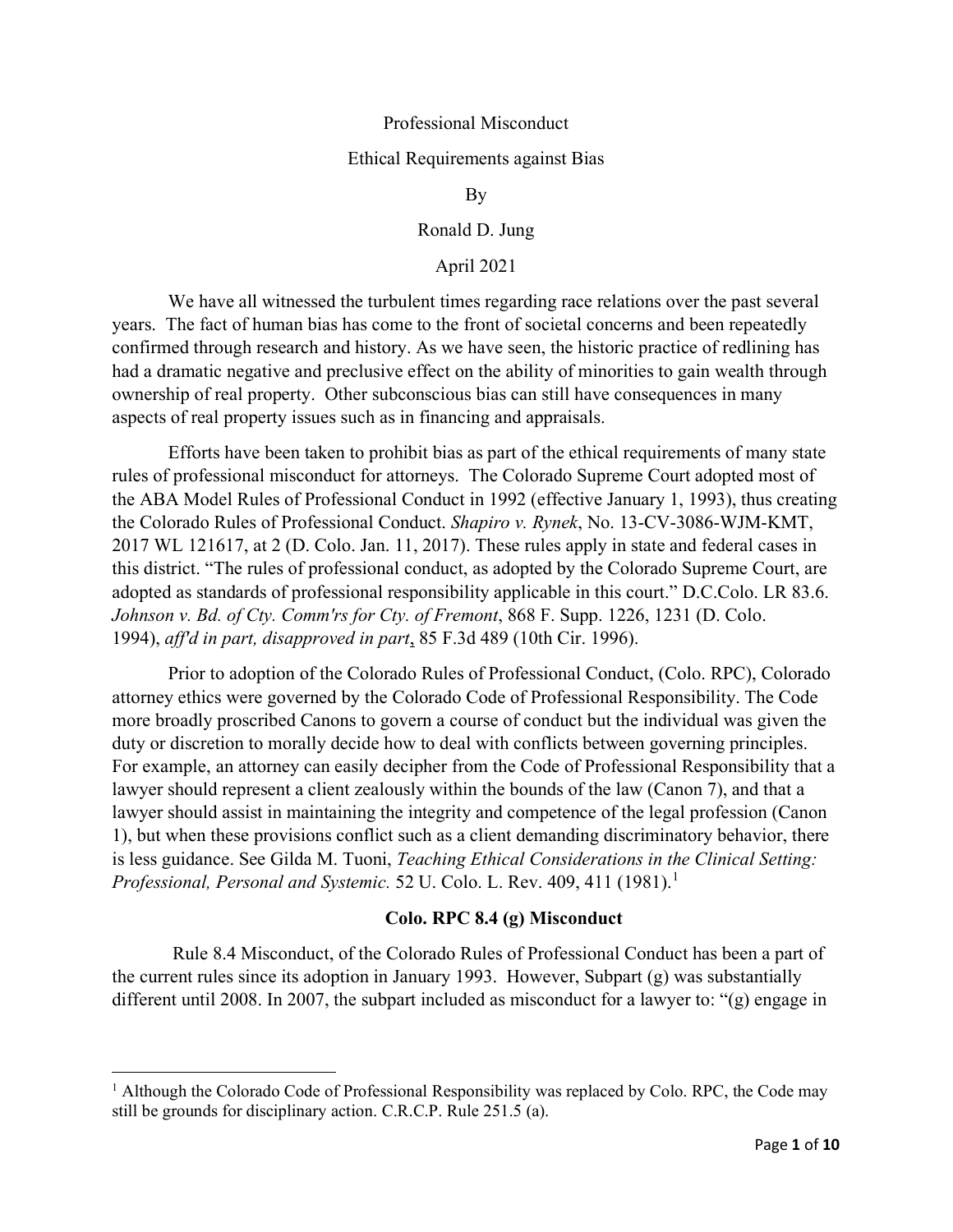### Professional Misconduct

#### Ethical Requirements against Bias

By

Ronald D. Jung

# April 2021

We have all witnessed the turbulent times regarding race relations over the past several years. The fact of human bias has come to the front of societal concerns and been repeatedly confirmed through research and history. As we have seen, the historic practice of redlining has had a dramatic negative and preclusive effect on the ability of minorities to gain wealth through ownership of real property. Other subconscious bias can still have consequences in many aspects of real property issues such as in financing and appraisals.

Efforts have been taken to prohibit bias as part of the ethical requirements of many state rules of professional misconduct for attorneys. The Colorado Supreme Court adopted most of the ABA Model Rules of Professional Conduct in 1992 (effective January 1, 1993), thus creating the Colorado Rules of Professional Conduct. *Shapiro v. Rynek*, No. 13-CV-3086-WJM-KMT, 2017 WL 121617, at 2 (D. Colo. Jan. 11, 2017). These rules apply in state and federal cases in this district. "The rules of professional conduct, as adopted by the Colorado Supreme Court, are adopted as standards of professional responsibility applicable in this court." D.C.Colo. LR 83.6. *Johnson v. Bd. of Cty. Comm'rs for Cty. of Fremont*, 868 F. Supp. 1226, 1231 (D. Colo. 1994), *aff'd in part, disapproved in part*, 85 F.3d 489 (10th Cir. 1996).

Prior to adoption of the Colorado Rules of Professional Conduct, (Colo. RPC), Colorado attorney ethics were governed by the Colorado Code of Professional Responsibility. The Code more broadly proscribed Canons to govern a course of conduct but the individual was given the duty or discretion to morally decide how to deal with conflicts between governing principles. For example, an attorney can easily decipher from the Code of Professional Responsibility that a lawyer should represent a client zealously within the bounds of the law (Canon 7), and that a lawyer should assist in maintaining the integrity and competence of the legal profession (Canon 1), but when these provisions conflict such as a client demanding discriminatory behavior, there is less guidance. See Gilda M. Tuoni, *Teaching Ethical Considerations in the Clinical Setting: Professional, Personal and Systemic.* 52 U. Colo. L. Rev. 409, 4[1](#page-0-0)1 (1981).<sup>1</sup>

### **Colo. RPC 8.4 (g) Misconduct**

 Rule 8.4 Misconduct, of the Colorado Rules of Professional Conduct has been a part of the current rules since its adoption in January 1993. However, Subpart (g) was substantially different until 2008. In 2007, the subpart included as misconduct for a lawyer to: "(g) engage in

<span id="page-0-0"></span><sup>&</sup>lt;sup>1</sup> Although the Colorado Code of Professional Responsibility was replaced by Colo. RPC, the Code may still be grounds for disciplinary action. C.R.C.P. Rule 251.5 (a).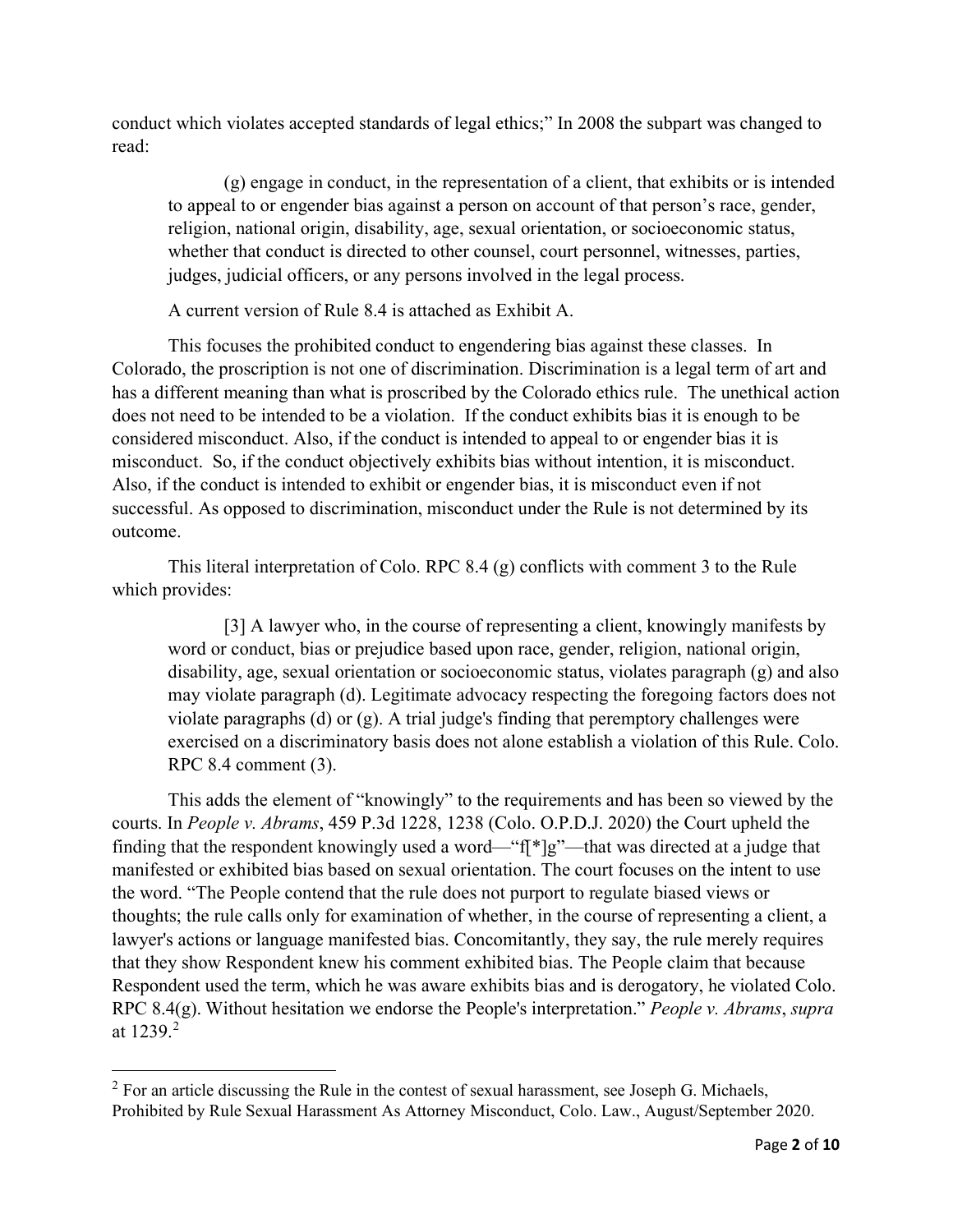conduct which violates accepted standards of legal ethics;" In 2008 the subpart was changed to read:

(g) engage in conduct, in the representation of a client, that exhibits or is intended to appeal to or engender bias against a person on account of that person's race, gender, religion, national origin, disability, age, sexual orientation, or socioeconomic status, whether that conduct is directed to other counsel, court personnel, witnesses, parties, judges, judicial officers, or any persons involved in the legal process.

A current version of Rule 8.4 is attached as Exhibit A.

This focuses the prohibited conduct to engendering bias against these classes. In Colorado, the proscription is not one of discrimination. Discrimination is a legal term of art and has a different meaning than what is proscribed by the Colorado ethics rule. The unethical action does not need to be intended to be a violation. If the conduct exhibits bias it is enough to be considered misconduct. Also, if the conduct is intended to appeal to or engender bias it is misconduct. So, if the conduct objectively exhibits bias without intention, it is misconduct. Also, if the conduct is intended to exhibit or engender bias, it is misconduct even if not successful. As opposed to discrimination, misconduct under the Rule is not determined by its outcome.

This literal interpretation of Colo. RPC 8.4 (g) conflicts with comment 3 to the Rule which provides:

[3] A lawyer who, in the course of representing a client, knowingly manifests by word or conduct, bias or prejudice based upon race, gender, religion, national origin, disability, age, sexual orientation or socioeconomic status, violates paragraph (g) and also may violate paragraph (d). Legitimate advocacy respecting the foregoing factors does not violate paragraphs (d) or (g). A trial judge's finding that peremptory challenges were exercised on a discriminatory basis does not alone establish a violation of this Rule. Colo. RPC 8.4 comment (3).

This adds the element of "knowingly" to the requirements and has been so viewed by the courts. In *People v. Abrams*, 459 P.3d 1228, 1238 (Colo. O.P.D.J. 2020) the Court upheld the finding that the respondent knowingly used a word—"f[\*]g"—that was directed at a judge that manifested or exhibited bias based on sexual orientation. The court focuses on the intent to use the word. "The People contend that the rule does not purport to regulate biased views or thoughts; the rule calls only for examination of whether, in the course of representing a client, a lawyer's actions or language manifested bias. Concomitantly, they say, the rule merely requires that they show Respondent knew his comment exhibited bias. The People claim that because Respondent used the term, which he was aware exhibits bias and is derogatory, he violated Colo. RPC 8.4(g). Without hesitation we endorse the People's interpretation." *People v. Abrams*, *supra*  at 1239. [2](#page-1-0)

<span id="page-1-0"></span> $2$  For an article discussing the Rule in the contest of sexual harassment, see Joseph G. Michaels, Prohibited by Rule Sexual Harassment As Attorney Misconduct, Colo. Law., August/September 2020.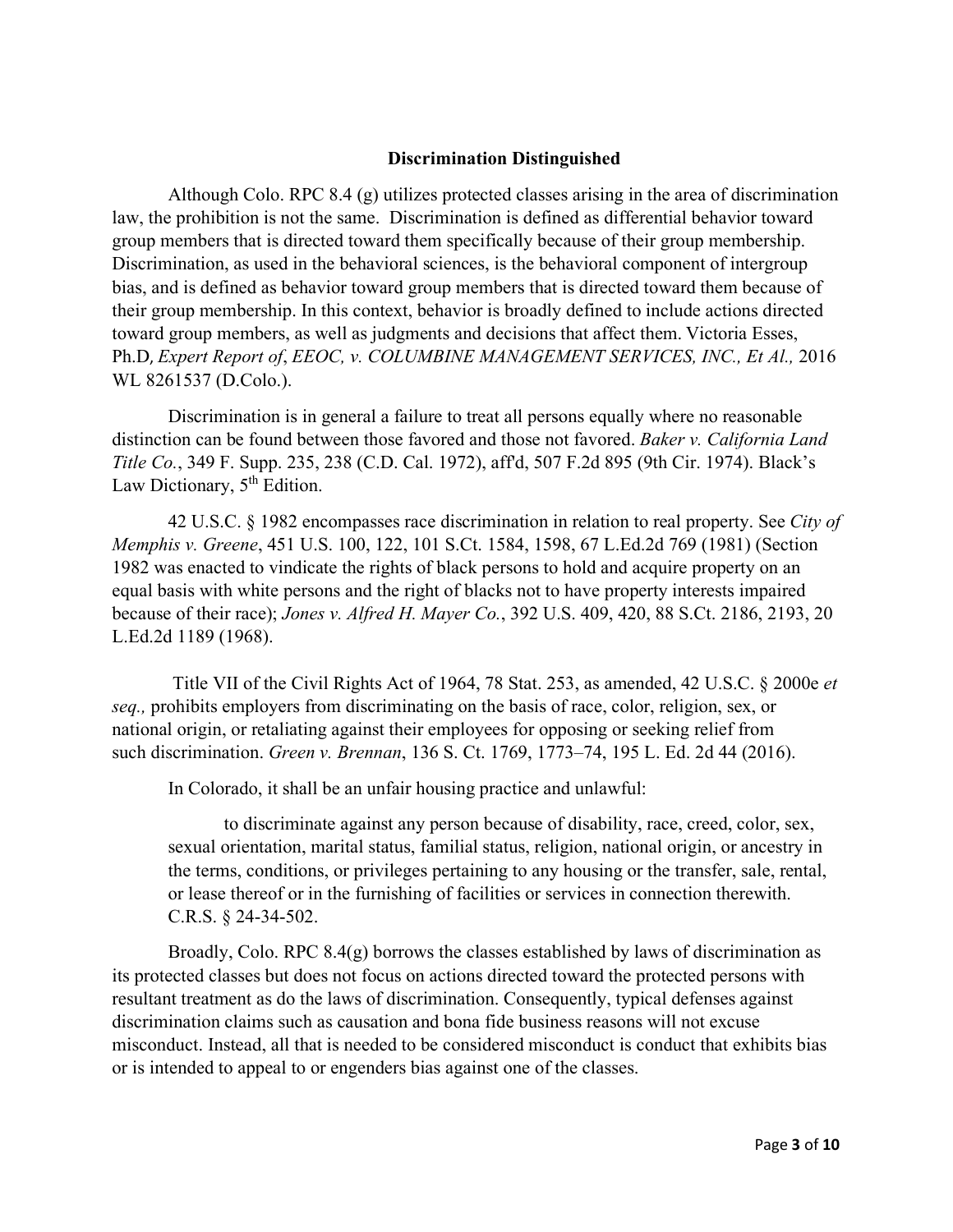### **Discrimination Distinguished**

Although Colo. RPC 8.4 (g) utilizes protected classes arising in the area of discrimination law, the prohibition is not the same. Discrimination is defined as differential behavior toward group members that is directed toward them specifically because of their group membership. Discrimination, as used in the behavioral sciences, is the behavioral component of intergroup bias, and is defined as behavior toward group members that is directed toward them because of their group membership. In this context, behavior is broadly defined to include actions directed toward group members, as well as judgments and decisions that affect them. Victoria Esses, Ph.D, *Expert Report of*, *EEOC, v. COLUMBINE MANAGEMENT SERVICES, INC., Et Al.,* 2016 WL 8261537 (D.Colo.).

Discrimination is in general a failure to treat all persons equally where no reasonable distinction can be found between those favored and those not favored. *Baker v. California Land Title Co.*, 349 F. Supp. 235, 238 (C.D. Cal. 1972), aff'd, 507 F.2d 895 (9th Cir. 1974). Black's Law Dictionary,  $5<sup>th</sup>$  Edition.

42 U.S.C. § 1982 encompasses race discrimination in relation to real property. See *City of Memphis v. Greene*, 451 U.S. 100, 122, 101 S.Ct. 1584, 1598, 67 L.Ed.2d 769 (1981) (Section 1982 was enacted to vindicate the rights of black persons to hold and acquire property on an equal basis with white persons and the right of blacks not to have property interests impaired because of their race); *Jones v. Alfred H. Mayer Co.*, 392 U.S. 409, 420, 88 S.Ct. 2186, 2193, 20 L.Ed.2d 1189 (1968).

Title VII of the Civil Rights Act of 1964, 78 Stat. 253, as amended, 42 U.S.C. § 2000e *et seq.,* prohibits employers from discriminating on the basis of race, color, religion, sex, or national origin, or retaliating against their employees for opposing or seeking relief from such discrimination. *Green v. Brennan*, 136 S. Ct. 1769, 1773–74, 195 L. Ed. 2d 44 (2016).

In Colorado, it shall be an unfair housing practice and unlawful:

to discriminate against any person because of disability, race, creed, color, sex, sexual orientation, marital status, familial status, religion, national origin, or ancestry in the terms, conditions, or privileges pertaining to any housing or the transfer, sale, rental, or lease thereof or in the furnishing of facilities or services in connection therewith. C.R.S. § 24-34-502.

Broadly, Colo. RPC  $8.4(q)$  borrows the classes established by laws of discrimination as its protected classes but does not focus on actions directed toward the protected persons with resultant treatment as do the laws of discrimination. Consequently, typical defenses against discrimination claims such as causation and bona fide business reasons will not excuse misconduct. Instead, all that is needed to be considered misconduct is conduct that exhibits bias or is intended to appeal to or engenders bias against one of the classes.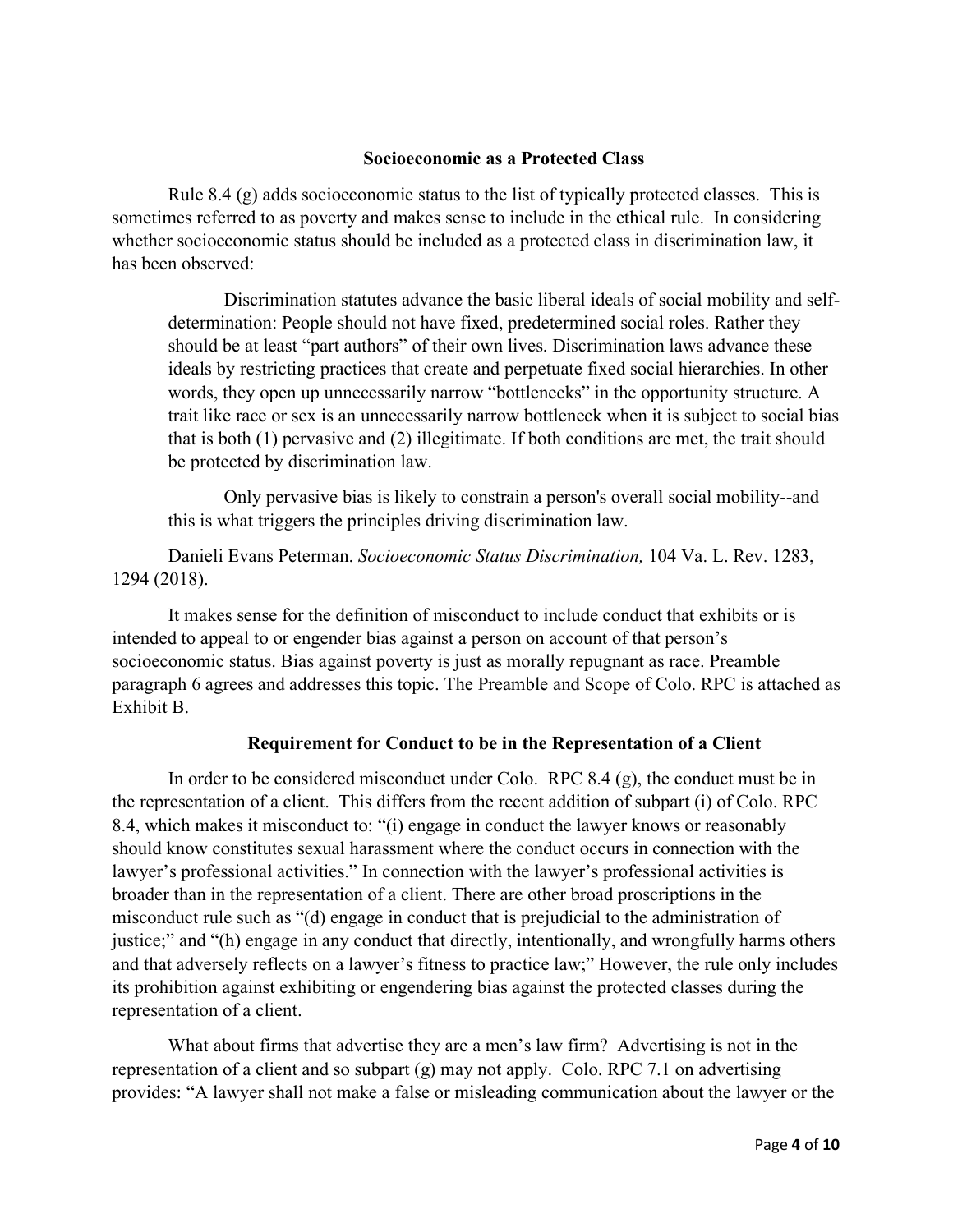### **Socioeconomic as a Protected Class**

Rule 8.4  $(g)$  adds socioeconomic status to the list of typically protected classes. This is sometimes referred to as poverty and makes sense to include in the ethical rule. In considering whether socioeconomic status should be included as a protected class in discrimination law, it has been observed:

Discrimination statutes advance the basic liberal ideals of social mobility and selfdetermination: People should not have fixed, predetermined social roles. Rather they should be at least "part authors" of their own lives. Discrimination laws advance these ideals by restricting practices that create and perpetuate fixed social hierarchies. In other words, they open up unnecessarily narrow "bottlenecks" in the opportunity structure. A trait like race or sex is an unnecessarily narrow bottleneck when it is subject to social bias that is both (1) pervasive and (2) illegitimate. If both conditions are met, the trait should be protected by discrimination law.

Only pervasive bias is likely to constrain a person's overall social mobility--and this is what triggers the principles driving discrimination law.

Danieli Evans Peterman. *Socioeconomic Status Discrimination,* 104 Va. L. Rev. 1283, 1294 (2018).

It makes sense for the definition of misconduct to include conduct that exhibits or is intended to appeal to or engender bias against a person on account of that person's socioeconomic status. Bias against poverty is just as morally repugnant as race. Preamble paragraph 6 agrees and addresses this topic. The Preamble and Scope of Colo. RPC is attached as Exhibit B.

# **Requirement for Conduct to be in the Representation of a Client**

In order to be considered misconduct under Colo. RPC  $8.4$  (g), the conduct must be in the representation of a client. This differs from the recent addition of subpart (i) of Colo. RPC 8.4, which makes it misconduct to: "(i) engage in conduct the lawyer knows or reasonably should know constitutes sexual harassment where the conduct occurs in connection with the lawyer's professional activities." In connection with the lawyer's professional activities is broader than in the representation of a client. There are other broad proscriptions in the misconduct rule such as "(d) engage in conduct that is prejudicial to the administration of justice;" and "(h) engage in any conduct that directly, intentionally, and wrongfully harms others and that adversely reflects on a lawyer's fitness to practice law;" However, the rule only includes its prohibition against exhibiting or engendering bias against the protected classes during the representation of a client.

What about firms that advertise they are a men's law firm? Advertising is not in the representation of a client and so subpart (g) may not apply. Colo. RPC 7.1 on advertising provides: "A lawyer shall not make a false or misleading communication about the lawyer or the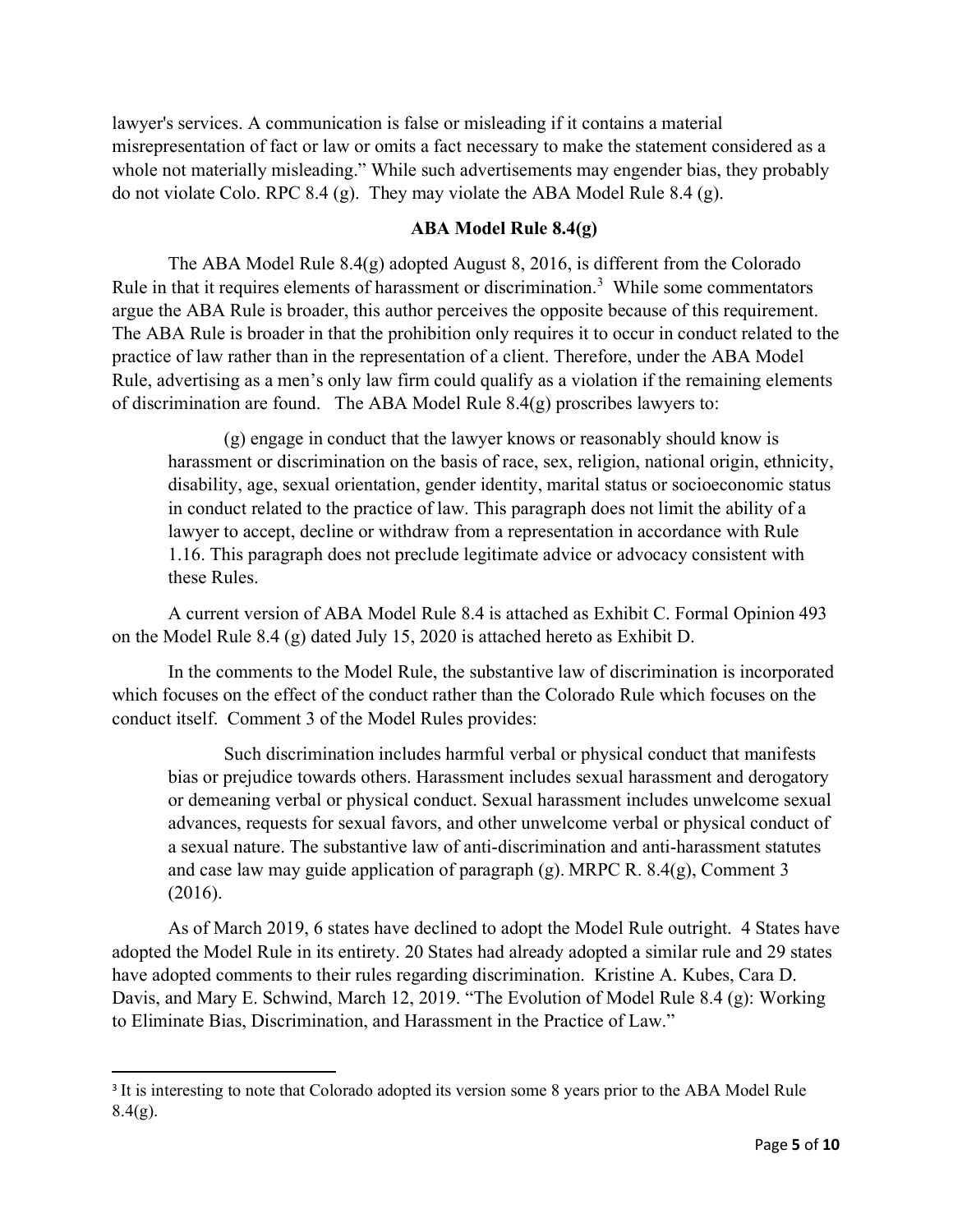lawyer's services. A communication is false or misleading if it contains a material misrepresentation of fact or law or omits a fact necessary to make the statement considered as a whole not materially misleading." While such advertisements may engender bias, they probably do not violate Colo. RPC 8.4 (g). They may violate the ABA Model Rule 8.4 (g).

# **ABA Model Rule 8.4(g)**

The ABA Model Rule 8.4(g) adopted August 8, 2016, is different from the Colorado Rule in that it requires elements of harassment or discrimination.<sup>[3](#page-4-0)</sup> While some commentators argue the ABA Rule is broader, this author perceives the opposite because of this requirement. The ABA Rule is broader in that the prohibition only requires it to occur in conduct related to the practice of law rather than in the representation of a client. Therefore, under the ABA Model Rule, advertising as a men's only law firm could qualify as a violation if the remaining elements of discrimination are found. The ABA Model Rule 8.4(g) proscribes lawyers to:

(g) engage in conduct that the lawyer knows or reasonably should know is harassment or discrimination on the basis of race, sex, religion, national origin, ethnicity, disability, age, sexual orientation, gender identity, marital status or socioeconomic status in conduct related to the practice of law. This paragraph does not limit the ability of a lawyer to accept, decline or withdraw from a representation in accordance with Rule 1.16. This paragraph does not preclude legitimate advice or advocacy consistent with these Rules.

A current version of ABA Model Rule 8.4 is attached as Exhibit C. Formal Opinion 493 on the Model Rule 8.4 (g) dated July 15, 2020 is attached hereto as Exhibit D.

In the comments to the Model Rule, the substantive law of discrimination is incorporated which focuses on the effect of the conduct rather than the Colorado Rule which focuses on the conduct itself. Comment 3 of the Model Rules provides:

Such discrimination includes harmful verbal or physical conduct that manifests bias or prejudice towards others. Harassment includes sexual harassment and derogatory or demeaning verbal or physical conduct. Sexual harassment includes unwelcome sexual advances, requests for sexual favors, and other unwelcome verbal or physical conduct of a sexual nature. The substantive law of anti-discrimination and anti-harassment statutes and case law may guide application of paragraph (g). MRPC R. 8.4(g), Comment 3 (2016).

As of March 2019, 6 states have declined to adopt the Model Rule outright. 4 States have adopted the Model Rule in its entirety. 20 States had already adopted a similar rule and 29 states have adopted comments to their rules regarding discrimination. Kristine A. Kubes, Cara D. Davis, and Mary E. Schwind, March 12, 2019. "The Evolution of Model Rule 8.4 (g): Working to Eliminate Bias, Discrimination, and Harassment in the Practice of Law."

<span id="page-4-0"></span><sup>&</sup>lt;sup>3</sup> It is interesting to note that Colorado adopted its version some 8 years prior to the ABA Model Rule  $8.4(g)$ .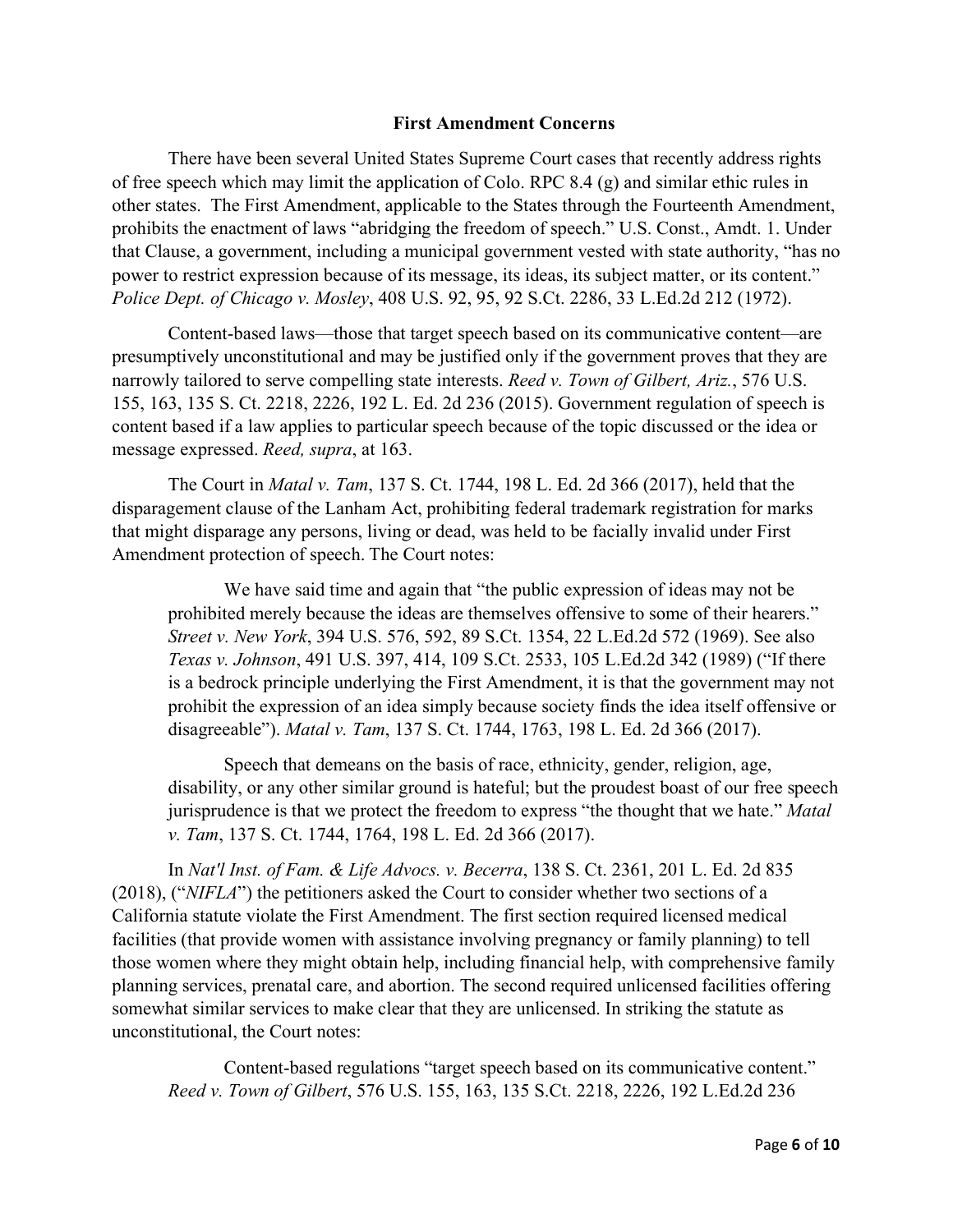### **First Amendment Concerns**

There have been several United States Supreme Court cases that recently address rights of free speech which may limit the application of Colo. RPC 8.4 (g) and similar ethic rules in other states. The First Amendment, applicable to the States through the Fourteenth Amendment, prohibits the enactment of laws "abridging the freedom of speech." U.S. Const., Amdt. 1. Under that Clause, a government, including a municipal government vested with state authority, "has no power to restrict expression because of its message, its ideas, its subject matter, or its content." *Police Dept. of Chicago v. Mosley*, 408 U.S. 92, 95, 92 S.Ct. 2286, 33 L.Ed.2d 212 (1972).

Content-based laws—those that target speech based on its communicative content—are presumptively unconstitutional and may be justified only if the government proves that they are narrowly tailored to serve compelling state interests. *Reed v. Town of Gilbert, Ariz.*, 576 U.S. 155, 163, 135 S. Ct. 2218, 2226, 192 L. Ed. 2d 236 (2015). Government regulation of speech is content based if a law applies to particular speech because of the topic discussed or the idea or message expressed. *Reed, supra*, at 163.

The Court in *Matal v. Tam*, 137 S. Ct. 1744, 198 L. Ed. 2d 366 (2017), held that the disparagement clause of the Lanham Act, prohibiting federal trademark registration for marks that might disparage any persons, living or dead, was held to be facially invalid under First Amendment protection of speech. The Court notes:

We have said time and again that "the public expression of ideas may not be prohibited merely because the ideas are themselves offensive to some of their hearers." *Street v. New York*, 394 U.S. 576, 592, 89 S.Ct. 1354, 22 L.Ed.2d 572 (1969). See also *Texas v. Johnson*, 491 U.S. 397, 414, 109 S.Ct. 2533, 105 L.Ed.2d 342 (1989) ("If there is a bedrock principle underlying the First Amendment, it is that the government may not prohibit the expression of an idea simply because society finds the idea itself offensive or disagreeable"). *Matal v. Tam*, 137 S. Ct. 1744, 1763, 198 L. Ed. 2d 366 (2017).

Speech that demeans on the basis of race, ethnicity, gender, religion, age, disability, or any other similar ground is hateful; but the proudest boast of our free speech jurisprudence is that we protect the freedom to express "the thought that we hate." *Matal v. Tam*, 137 S. Ct. 1744, 1764, 198 L. Ed. 2d 366 (2017).

In *Nat'l Inst. of Fam. & Life Advocs. v. Becerra*, 138 S. Ct. 2361, 201 L. Ed. 2d 835 (2018), ("*NIFLA*") the petitioners asked the Court to consider whether two sections of a California statute violate the First Amendment. The first section required licensed medical facilities (that provide women with assistance involving pregnancy or family planning) to tell those women where they might obtain help, including financial help, with comprehensive family planning services, prenatal care, and abortion. The second required unlicensed facilities offering somewhat similar services to make clear that they are unlicensed. In striking the statute as unconstitutional, the Court notes:

Content-based regulations "target speech based on its communicative content." *Reed v. Town of Gilbert*, 576 U.S. 155, 163, 135 S.Ct. 2218, 2226, 192 L.Ed.2d 236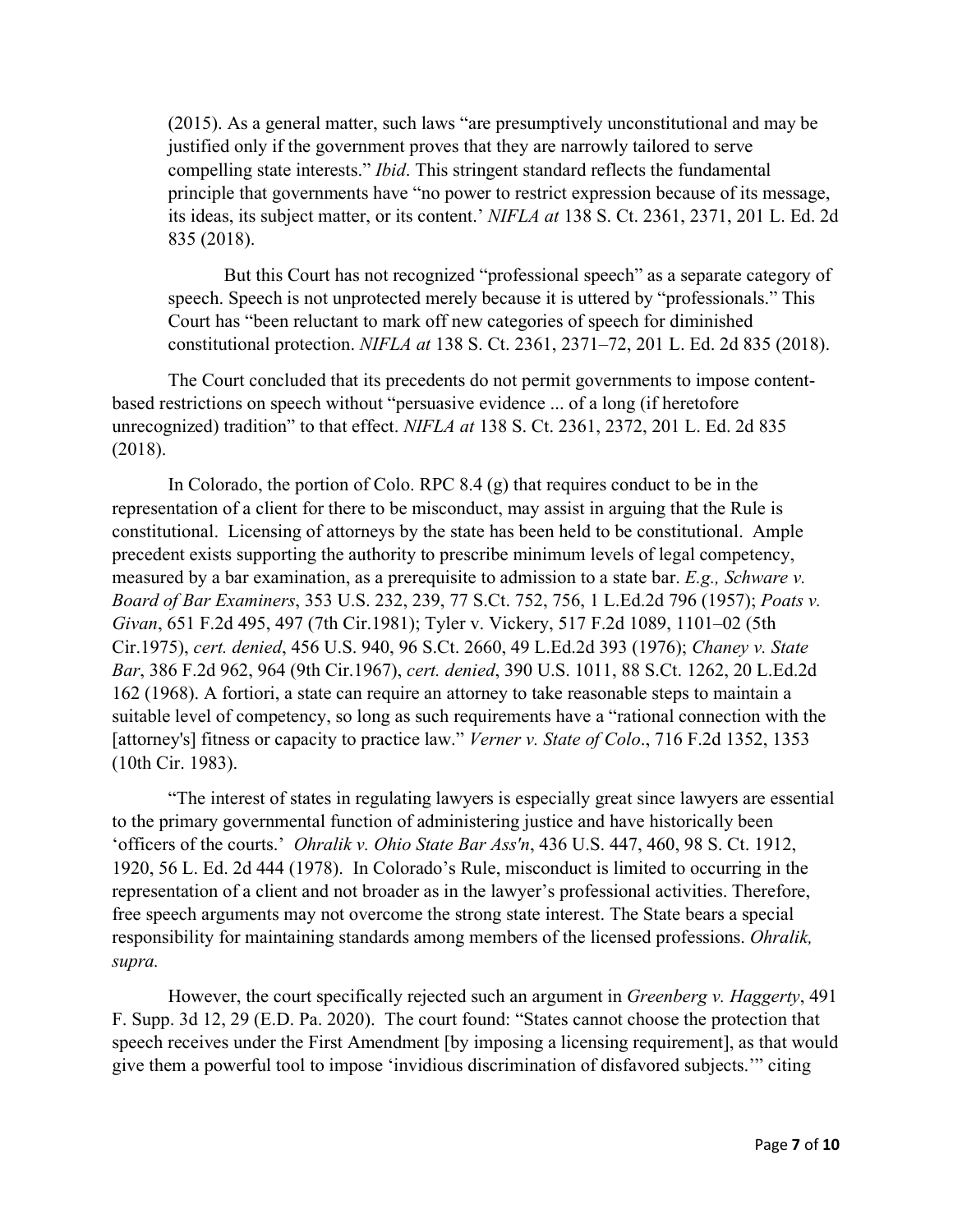(2015). As a general matter, such laws "are presumptively unconstitutional and may be justified only if the government proves that they are narrowly tailored to serve compelling state interests." *Ibid*. This stringent standard reflects the fundamental principle that governments have "no power to restrict expression because of its message, its ideas, its subject matter, or its content.' *NIFLA at* 138 S. Ct. 2361, 2371, 201 L. Ed. 2d 835 (2018).

But this Court has not recognized "professional speech" as a separate category of speech. Speech is not unprotected merely because it is uttered by "professionals." This Court has "been reluctant to mark off new categories of speech for diminished constitutional protection. *NIFLA at* 138 S. Ct. 2361, 2371–72, 201 L. Ed. 2d 835 (2018).

The Court concluded that its precedents do not permit governments to impose contentbased restrictions on speech without "persuasive evidence ... of a long (if heretofore unrecognized) tradition" to that effect. *NIFLA at* 138 S. Ct. 2361, 2372, 201 L. Ed. 2d 835 (2018).

In Colorado, the portion of Colo. RPC  $8.4$  (g) that requires conduct to be in the representation of a client for there to be misconduct, may assist in arguing that the Rule is constitutional. Licensing of attorneys by the state has been held to be constitutional. Ample precedent exists supporting the authority to prescribe minimum levels of legal competency, measured by a bar examination, as a prerequisite to admission to a state bar. *E.g., Schware v. Board of Bar Examiners*, 353 U.S. 232, 239, 77 S.Ct. 752, 756, 1 L.Ed.2d 796 (1957); *Poats v. Givan*, 651 F.2d 495, 497 (7th Cir.1981); Tyler v. Vickery, 517 F.2d 1089, 1101–02 (5th Cir.1975), *cert. denied*, 456 U.S. 940, 96 S.Ct. 2660, 49 L.Ed.2d 393 (1976); *Chaney v. State Bar*, 386 F.2d 962, 964 (9th Cir.1967), *cert. denied*, 390 U.S. 1011, 88 S.Ct. 1262, 20 L.Ed.2d 162 (1968). A fortiori, a state can require an attorney to take reasonable steps to maintain a suitable level of competency, so long as such requirements have a "rational connection with the [attorney's] fitness or capacity to practice law." *Verner v. State of Colo*., 716 F.2d 1352, 1353 (10th Cir. 1983).

"The interest of states in regulating lawyers is especially great since lawyers are essential to the primary governmental function of administering justice and have historically been 'officers of the courts.' *Ohralik v. Ohio State Bar Ass'n*, 436 U.S. 447, 460, 98 S. Ct. 1912, 1920, 56 L. Ed. 2d 444 (1978). In Colorado's Rule, misconduct is limited to occurring in the representation of a client and not broader as in the lawyer's professional activities. Therefore, free speech arguments may not overcome the strong state interest. The State bears a special responsibility for maintaining standards among members of the licensed professions. *Ohralik, supra.* 

However, the court specifically rejected such an argument in *Greenberg v. Haggerty*, 491 F. Supp. 3d 12, 29 (E.D. Pa. 2020). The court found: "States cannot choose the protection that speech receives under the First Amendment [by imposing a licensing requirement], as that would give them a powerful tool to impose 'invidious discrimination of disfavored subjects.'" citing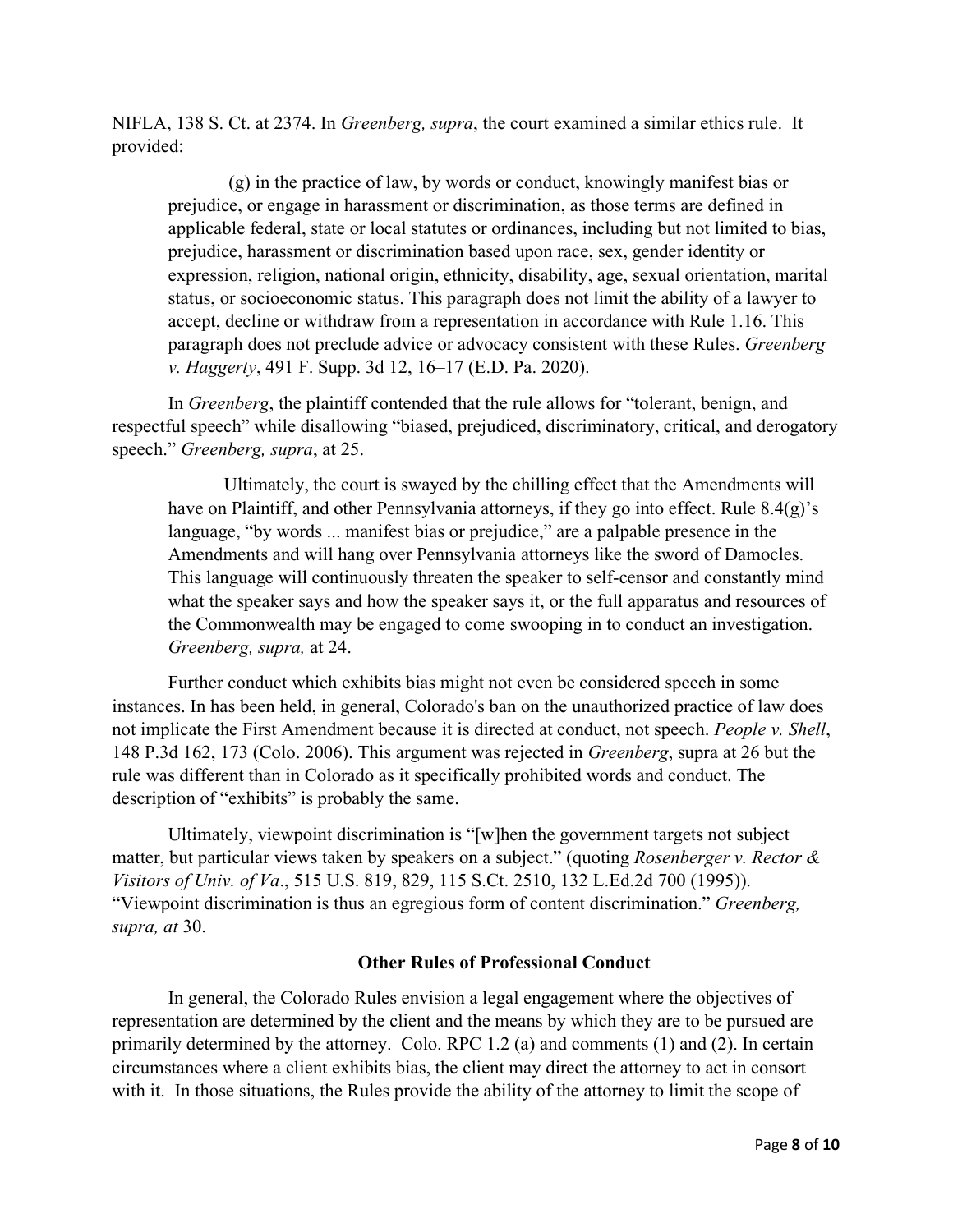NIFLA, 138 S. Ct. at 2374. In *Greenberg, supra*, the court examined a similar ethics rule. It provided:

(g) in the practice of law, by words or conduct, knowingly manifest bias or prejudice, or engage in harassment or discrimination, as those terms are defined in applicable federal, state or local statutes or ordinances, including but not limited to bias, prejudice, harassment or discrimination based upon race, sex, gender identity or expression, religion, national origin, ethnicity, disability, age, sexual orientation, marital status, or socioeconomic status. This paragraph does not limit the ability of a lawyer to accept, decline or withdraw from a representation in accordance with Rule 1.16. This paragraph does not preclude advice or advocacy consistent with these Rules. *Greenberg v. Haggerty*, 491 F. Supp. 3d 12, 16–17 (E.D. Pa. 2020).

In *Greenberg*, the plaintiff contended that the rule allows for "tolerant, benign, and respectful speech" while disallowing "biased, prejudiced, discriminatory, critical, and derogatory speech." *Greenberg, supra*, at 25.

Ultimately, the court is swayed by the chilling effect that the Amendments will have on Plaintiff, and other Pennsylvania attorneys, if they go into effect. Rule 8.4(g)'s language, "by words ... manifest bias or prejudice," are a palpable presence in the Amendments and will hang over Pennsylvania attorneys like the sword of Damocles. This language will continuously threaten the speaker to self-censor and constantly mind what the speaker says and how the speaker says it, or the full apparatus and resources of the Commonwealth may be engaged to come swooping in to conduct an investigation. *Greenberg, supra,* at 24.

Further conduct which exhibits bias might not even be considered speech in some instances. In has been held, in general, Colorado's ban on the unauthorized practice of law does not implicate the First Amendment because it is directed at conduct, not speech. *People v. Shell*, 148 P.3d 162, 173 (Colo. 2006). This argument was rejected in *Greenberg*, supra at 26 but the rule was different than in Colorado as it specifically prohibited words and conduct. The description of "exhibits" is probably the same.

Ultimately, viewpoint discrimination is "[w]hen the government targets not subject matter, but particular views taken by speakers on a subject." (quoting *Rosenberger v. Rector & Visitors of Univ. of Va*., 515 U.S. 819, 829, 115 S.Ct. 2510, 132 L.Ed.2d 700 (1995)). "Viewpoint discrimination is thus an egregious form of content discrimination." *Greenberg, supra, at* 30.

### **Other Rules of Professional Conduct**

In general, the Colorado Rules envision a legal engagement where the objectives of representation are determined by the client and the means by which they are to be pursued are primarily determined by the attorney. Colo. RPC 1.2 (a) and comments (1) and (2). In certain circumstances where a client exhibits bias, the client may direct the attorney to act in consort with it. In those situations, the Rules provide the ability of the attorney to limit the scope of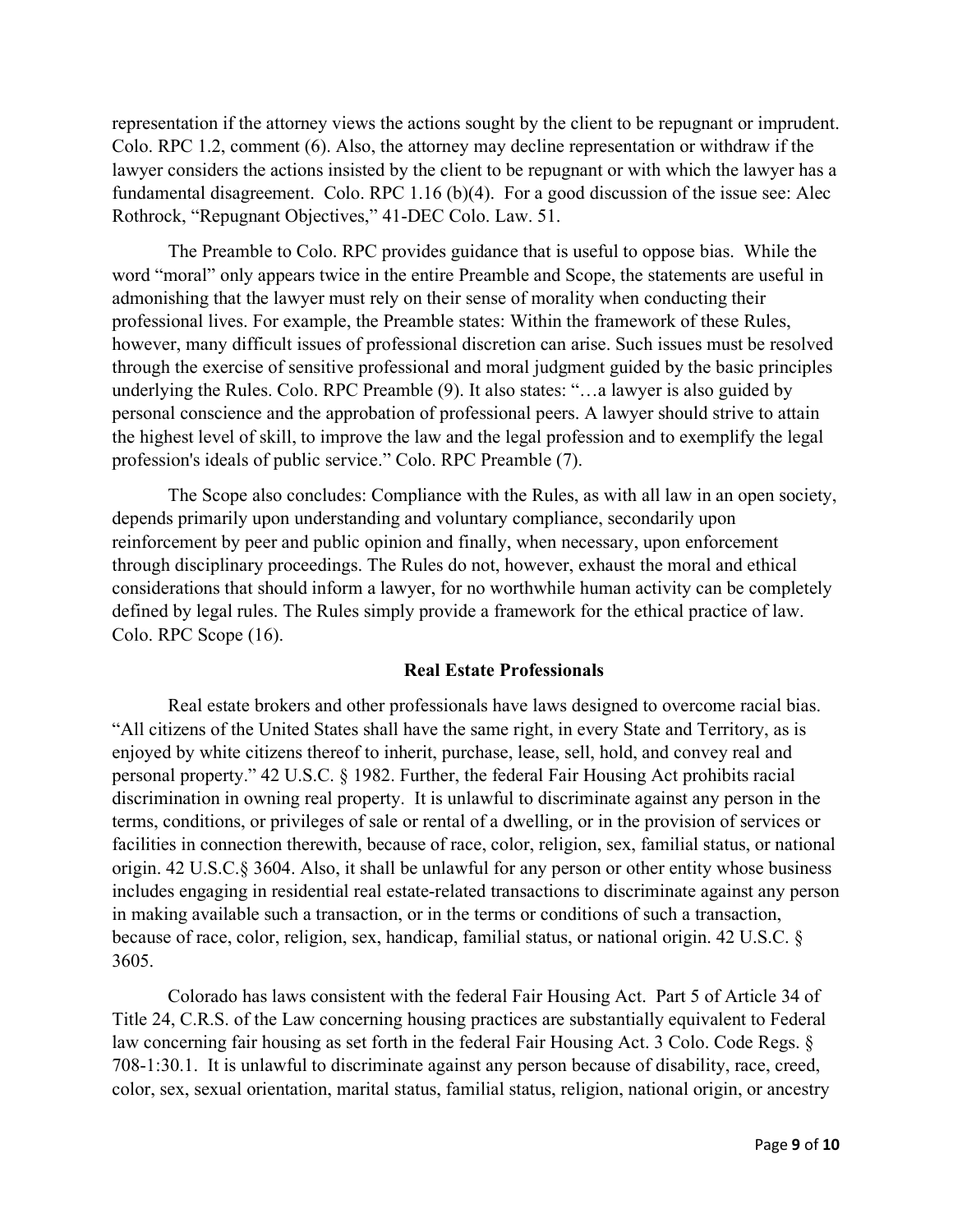representation if the attorney views the actions sought by the client to be repugnant or imprudent. Colo. RPC 1.2, comment (6). Also, the attorney may decline representation or withdraw if the lawyer considers the actions insisted by the client to be repugnant or with which the lawyer has a fundamental disagreement. Colo. RPC 1.16 (b)(4). For a good discussion of the issue see: Alec Rothrock, "Repugnant Objectives," 41-DEC Colo. Law. 51.

The Preamble to Colo. RPC provides guidance that is useful to oppose bias. While the word "moral" only appears twice in the entire Preamble and Scope, the statements are useful in admonishing that the lawyer must rely on their sense of morality when conducting their professional lives. For example, the Preamble states: Within the framework of these Rules, however, many difficult issues of professional discretion can arise. Such issues must be resolved through the exercise of sensitive professional and moral judgment guided by the basic principles underlying the Rules. Colo. RPC Preamble (9). It also states: "…a lawyer is also guided by personal conscience and the approbation of professional peers. A lawyer should strive to attain the highest level of skill, to improve the law and the legal profession and to exemplify the legal profession's ideals of public service." Colo. RPC Preamble (7).

The Scope also concludes: Compliance with the Rules, as with all law in an open society, depends primarily upon understanding and voluntary compliance, secondarily upon reinforcement by peer and public opinion and finally, when necessary, upon enforcement through disciplinary proceedings. The Rules do not, however, exhaust the moral and ethical considerations that should inform a lawyer, for no worthwhile human activity can be completely defined by legal rules. The Rules simply provide a framework for the ethical practice of law. Colo. RPC Scope (16).

### **Real Estate Professionals**

Real estate brokers and other professionals have laws designed to overcome racial bias. "All citizens of the United States shall have the same right, in every State and Territory, as is enjoyed by white citizens thereof to inherit, purchase, lease, sell, hold, and convey real and personal property." 42 U.S.C. § 1982. Further, the federal Fair Housing Act prohibits racial discrimination in owning real property. It is unlawful to discriminate against any person in the terms, conditions, or privileges of sale or rental of a dwelling, or in the provision of services or facilities in connection therewith, because of race, color, religion, sex, familial status, or national origin. 42 U.S.C.§ 3604. Also, it shall be unlawful for any person or other entity whose business includes engaging in residential real estate-related transactions to discriminate against any person in making available such a transaction, or in the terms or conditions of such a transaction, because of race, color, religion, sex, handicap, familial status, or national origin. 42 U.S.C. § 3605.

Colorado has laws consistent with the federal Fair Housing Act. Part 5 of Article 34 of Title 24, C.R.S. of the Law concerning housing practices are substantially equivalent to Federal law concerning fair housing as set forth in the federal Fair Housing Act. 3 Colo. Code Regs. § 708-1:30.1. It is unlawful to discriminate against any person because of disability, race, creed, color, sex, sexual orientation, marital status, familial status, religion, national origin, or ancestry